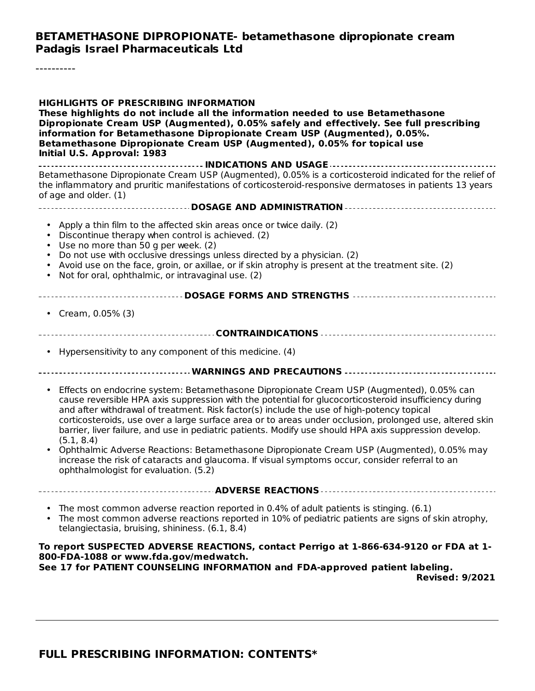#### **BETAMETHASONE DIPROPIONATE- betamethasone dipropionate cream Padagis Israel Pharmaceuticals Ltd**

**HIGHLIGHTS OF PRESCRIBING INFORMATION These highlights do not include all the information needed to use Betamethasone Dipropionate Cream USP (Augmented), 0.05% safely and effectively. See full prescribing information for Betamethasone Dipropionate Cream USP (Augmented), 0.05%. Betamethasone Dipropionate Cream USP (Augmented), 0.05% for topical use Initial U.S. Approval: 1983 INDICATIONS AND USAGE** Betamethasone Dipropionate Cream USP (Augmented), 0.05% is a corticosteroid indicated for the relief of the inflammatory and pruritic manifestations of corticosteroid-responsive dermatoses in patients 13 years of age and older. (1) **DOSAGE AND ADMINISTRATION** • Apply a thin film to the affected skin areas once or twice daily. (2) • Discontinue therapy when control is achieved. (2) • Use no more than 50 g per week. (2) • Do not use with occlusive dressings unless directed by a physician. (2) • Avoid use on the face, groin, or axillae, or if skin atrophy is present at the treatment site. (2) • Not for oral, ophthalmic, or intravaginal use. (2) **DOSAGE FORMS AND STRENGTHS** • Cream, 0.05% (3) **CONTRAINDICATIONS** • Hypersensitivity to any component of this medicine. (4) **WARNINGS AND PRECAUTIONS** • Effects on endocrine system: Betamethasone Dipropionate Cream USP (Augmented), 0.05% can • Ophthalmic Adverse Reactions: Betamethasone Dipropionate Cream USP (Augmented), 0.05% may **ADVERSE REACTIONS** • The most common adverse reaction reported in 0.4% of adult patients is stinging. (6.1) • **To report SUSPECTED ADVERSE REACTIONS, contact Perrigo at 1-866-634-9120 or FDA at 1- 800-FDA-1088 or www.fda.gov/medwatch. See 17 for PATIENT COUNSELING INFORMATION and FDA-approved patient labeling. Revised: 9/2021** cause reversible HPA axis suppression with the potential for glucocorticosteroid insufficiency during and after withdrawal of treatment. Risk factor(s) include the use of high-potency topical corticosteroids, use over a large surface area or to areas under occlusion, prolonged use, altered skin barrier, liver failure, and use in pediatric patients. Modify use should HPA axis suppression develop. (5.1, 8.4) increase the risk of cataracts and glaucoma. If visual symptoms occur, consider referral to an ophthalmologist for evaluation. (5.2) The most common adverse reactions reported in 10% of pediatric patients are signs of skin atrophy, telangiectasia, bruising, shininess. (6.1, 8.4)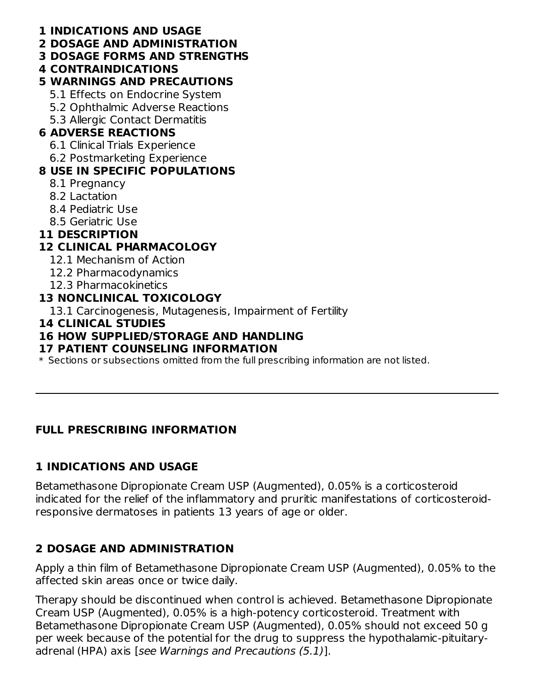#### **1 INDICATIONS AND USAGE**

**2 DOSAGE AND ADMINISTRATION**

#### **3 DOSAGE FORMS AND STRENGTHS**

#### **4 CONTRAINDICATIONS**

### **5 WARNINGS AND PRECAUTIONS**

- 5.1 Effects on Endocrine System
- 5.2 Ophthalmic Adverse Reactions
- 5.3 Allergic Contact Dermatitis

## **6 ADVERSE REACTIONS**

- 6.1 Clinical Trials Experience
- 6.2 Postmarketing Experience

# **8 USE IN SPECIFIC POPULATIONS**

- 8.1 Pregnancy
- 8.2 Lactation
- 8.4 Pediatric Use
- 8.5 Geriatric Use

# **11 DESCRIPTION**

# **12 CLINICAL PHARMACOLOGY**

- 12.1 Mechanism of Action
- 12.2 Pharmacodynamics
- 12.3 Pharmacokinetics

# **13 NONCLINICAL TOXICOLOGY**

13.1 Carcinogenesis, Mutagenesis, Impairment of Fertility

### **14 CLINICAL STUDIES**

### **16 HOW SUPPLIED/STORAGE AND HANDLING**

#### **17 PATIENT COUNSELING INFORMATION**

 $\ast$  Sections or subsections omitted from the full prescribing information are not listed.

# **FULL PRESCRIBING INFORMATION**

# **1 INDICATIONS AND USAGE**

Betamethasone Dipropionate Cream USP (Augmented), 0.05% is a corticosteroid indicated for the relief of the inflammatory and pruritic manifestations of corticosteroidresponsive dermatoses in patients 13 years of age or older.

# **2 DOSAGE AND ADMINISTRATION**

Apply a thin film of Betamethasone Dipropionate Cream USP (Augmented), 0.05% to the affected skin areas once or twice daily.

Therapy should be discontinued when control is achieved. Betamethasone Dipropionate Cream USP (Augmented), 0.05% is a high-potency corticosteroid. Treatment with Betamethasone Dipropionate Cream USP (Augmented), 0.05% should not exceed 50 g per week because of the potential for the drug to suppress the hypothalamic-pituitaryadrenal (HPA) axis [see Warnings and Precautions (5.1)].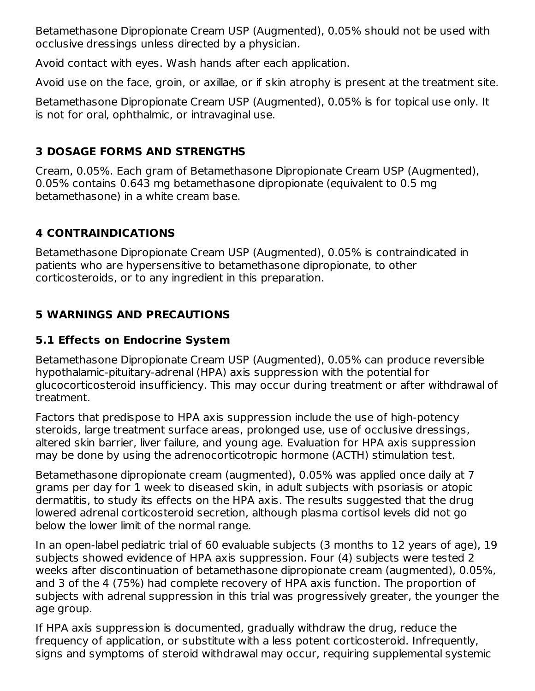Betamethasone Dipropionate Cream USP (Augmented), 0.05% should not be used with occlusive dressings unless directed by a physician.

Avoid contact with eyes. Wash hands after each application.

Avoid use on the face, groin, or axillae, or if skin atrophy is present at the treatment site.

Betamethasone Dipropionate Cream USP (Augmented), 0.05% is for topical use only. It is not for oral, ophthalmic, or intravaginal use.

## **3 DOSAGE FORMS AND STRENGTHS**

Cream, 0.05%. Each gram of Betamethasone Dipropionate Cream USP (Augmented), 0.05% contains 0.643 mg betamethasone dipropionate (equivalent to 0.5 mg betamethasone) in a white cream base.

## **4 CONTRAINDICATIONS**

Betamethasone Dipropionate Cream USP (Augmented), 0.05% is contraindicated in patients who are hypersensitive to betamethasone dipropionate, to other corticosteroids, or to any ingredient in this preparation.

## **5 WARNINGS AND PRECAUTIONS**

### **5.1 Effects on Endocrine System**

Betamethasone Dipropionate Cream USP (Augmented), 0.05% can produce reversible hypothalamic-pituitary-adrenal (HPA) axis suppression with the potential for glucocorticosteroid insufficiency. This may occur during treatment or after withdrawal of treatment.

Factors that predispose to HPA axis suppression include the use of high-potency steroids, large treatment surface areas, prolonged use, use of occlusive dressings, altered skin barrier, liver failure, and young age. Evaluation for HPA axis suppression may be done by using the adrenocorticotropic hormone (ACTH) stimulation test.

Betamethasone dipropionate cream (augmented), 0.05% was applied once daily at 7 grams per day for 1 week to diseased skin, in adult subjects with psoriasis or atopic dermatitis, to study its effects on the HPA axis. The results suggested that the drug lowered adrenal corticosteroid secretion, although plasma cortisol levels did not go below the lower limit of the normal range.

In an open-label pediatric trial of 60 evaluable subjects (3 months to 12 years of age), 19 subjects showed evidence of HPA axis suppression. Four (4) subjects were tested 2 weeks after discontinuation of betamethasone dipropionate cream (augmented), 0.05%, and 3 of the 4 (75%) had complete recovery of HPA axis function. The proportion of subjects with adrenal suppression in this trial was progressively greater, the younger the age group.

If HPA axis suppression is documented, gradually withdraw the drug, reduce the frequency of application, or substitute with a less potent corticosteroid. Infrequently, signs and symptoms of steroid withdrawal may occur, requiring supplemental systemic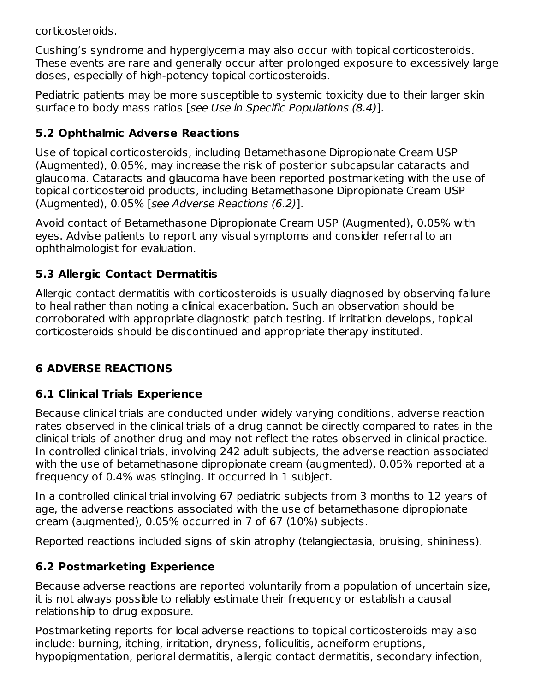corticosteroids.

Cushing's syndrome and hyperglycemia may also occur with topical corticosteroids. These events are rare and generally occur after prolonged exposure to excessively large doses, especially of high-potency topical corticosteroids.

Pediatric patients may be more susceptible to systemic toxicity due to their larger skin surface to body mass ratios [see Use in Specific Populations (8.4)].

## **5.2 Ophthalmic Adverse Reactions**

Use of topical corticosteroids, including Betamethasone Dipropionate Cream USP (Augmented), 0.05%, may increase the risk of posterior subcapsular cataracts and glaucoma. Cataracts and glaucoma have been reported postmarketing with the use of topical corticosteroid products, including Betamethasone Dipropionate Cream USP (Augmented), 0.05% [see Adverse Reactions (6.2)].

Avoid contact of Betamethasone Dipropionate Cream USP (Augmented), 0.05% with eyes. Advise patients to report any visual symptoms and consider referral to an ophthalmologist for evaluation.

## **5.3 Allergic Contact Dermatitis**

Allergic contact dermatitis with corticosteroids is usually diagnosed by observing failure to heal rather than noting a clinical exacerbation. Such an observation should be corroborated with appropriate diagnostic patch testing. If irritation develops, topical corticosteroids should be discontinued and appropriate therapy instituted.

# **6 ADVERSE REACTIONS**

# **6.1 Clinical Trials Experience**

Because clinical trials are conducted under widely varying conditions, adverse reaction rates observed in the clinical trials of a drug cannot be directly compared to rates in the clinical trials of another drug and may not reflect the rates observed in clinical practice. In controlled clinical trials, involving 242 adult subjects, the adverse reaction associated with the use of betamethasone dipropionate cream (augmented), 0.05% reported at a frequency of 0.4% was stinging. It occurred in 1 subject.

In a controlled clinical trial involving 67 pediatric subjects from 3 months to 12 years of age, the adverse reactions associated with the use of betamethasone dipropionate cream (augmented), 0.05% occurred in 7 of 67 (10%) subjects.

Reported reactions included signs of skin atrophy (telangiectasia, bruising, shininess).

### **6.2 Postmarketing Experience**

Because adverse reactions are reported voluntarily from a population of uncertain size, it is not always possible to reliably estimate their frequency or establish a causal relationship to drug exposure.

Postmarketing reports for local adverse reactions to topical corticosteroids may also include: burning, itching, irritation, dryness, folliculitis, acneiform eruptions, hypopigmentation, perioral dermatitis, allergic contact dermatitis, secondary infection,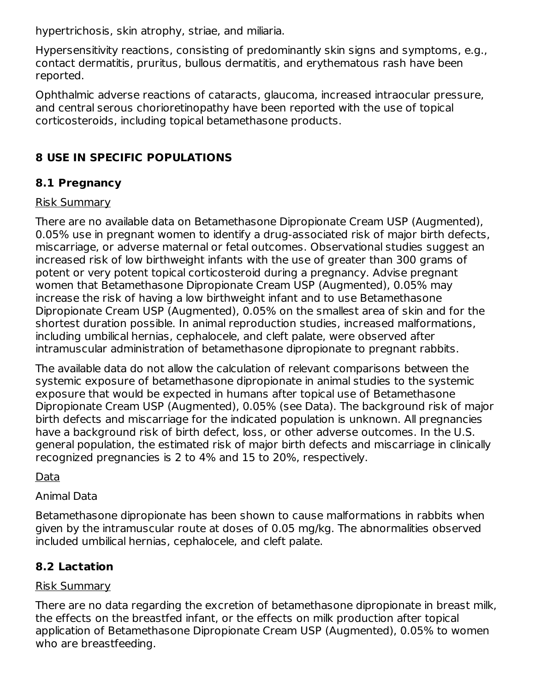hypertrichosis, skin atrophy, striae, and miliaria.

Hypersensitivity reactions, consisting of predominantly skin signs and symptoms, e.g., contact dermatitis, pruritus, bullous dermatitis, and erythematous rash have been reported.

Ophthalmic adverse reactions of cataracts, glaucoma, increased intraocular pressure, and central serous chorioretinopathy have been reported with the use of topical corticosteroids, including topical betamethasone products.

## **8 USE IN SPECIFIC POPULATIONS**

## **8.1 Pregnancy**

#### Risk Summary

There are no available data on Betamethasone Dipropionate Cream USP (Augmented), 0.05% use in pregnant women to identify a drug-associated risk of major birth defects, miscarriage, or adverse maternal or fetal outcomes. Observational studies suggest an increased risk of low birthweight infants with the use of greater than 300 grams of potent or very potent topical corticosteroid during a pregnancy. Advise pregnant women that Betamethasone Dipropionate Cream USP (Augmented), 0.05% may increase the risk of having a low birthweight infant and to use Betamethasone Dipropionate Cream USP (Augmented), 0.05% on the smallest area of skin and for the shortest duration possible. In animal reproduction studies, increased malformations, including umbilical hernias, cephalocele, and cleft palate, were observed after intramuscular administration of betamethasone dipropionate to pregnant rabbits.

The available data do not allow the calculation of relevant comparisons between the systemic exposure of betamethasone dipropionate in animal studies to the systemic exposure that would be expected in humans after topical use of Betamethasone Dipropionate Cream USP (Augmented), 0.05% (see Data). The background risk of major birth defects and miscarriage for the indicated population is unknown. All pregnancies have a background risk of birth defect, loss, or other adverse outcomes. In the U.S. general population, the estimated risk of major birth defects and miscarriage in clinically recognized pregnancies is 2 to 4% and 15 to 20%, respectively.

Data

### Animal Data

Betamethasone dipropionate has been shown to cause malformations in rabbits when given by the intramuscular route at doses of 0.05 mg/kg. The abnormalities observed included umbilical hernias, cephalocele, and cleft palate.

# **8.2 Lactation**

### Risk Summary

There are no data regarding the excretion of betamethasone dipropionate in breast milk, the effects on the breastfed infant, or the effects on milk production after topical application of Betamethasone Dipropionate Cream USP (Augmented), 0.05% to women who are breastfeeding.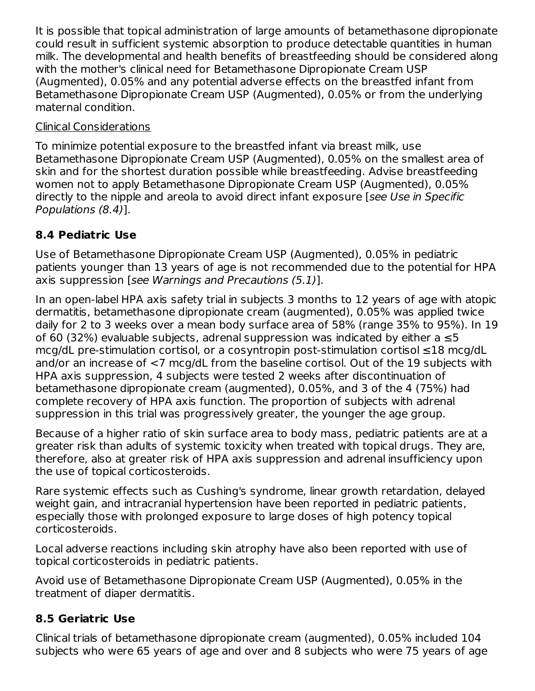It is possible that topical administration of large amounts of betamethasone dipropionate could result in sufficient systemic absorption to produce detectable quantities in human milk. The developmental and health benefits of breastfeeding should be considered along with the mother's clinical need for Betamethasone Dipropionate Cream USP (Augmented), 0.05% and any potential adverse effects on the breastfed infant from Betamethasone Dipropionate Cream USP (Augmented), 0.05% or from the underlying maternal condition.

## Clinical Considerations

To minimize potential exposure to the breastfed infant via breast milk, use Betamethasone Dipropionate Cream USP (Augmented), 0.05% on the smallest area of skin and for the shortest duration possible while breastfeeding. Advise breastfeeding women not to apply Betamethasone Dipropionate Cream USP (Augmented), 0.05% directly to the nipple and areola to avoid direct infant exposure [see Use in Specific Populations (8.4)].

# **8.4 Pediatric Use**

Use of Betamethasone Dipropionate Cream USP (Augmented), 0.05% in pediatric patients younger than 13 years of age is not recommended due to the potential for HPA axis suppression [see Warnings and Precautions (5.1)].

In an open-label HPA axis safety trial in subjects 3 months to 12 years of age with atopic dermatitis, betamethasone dipropionate cream (augmented), 0.05% was applied twice daily for 2 to 3 weeks over a mean body surface area of 58% (range 35% to 95%). In 19 of 60 (32%) evaluable subjects, adrenal suppression was indicated by either a  $\leq 5$ mcg/dL pre-stimulation cortisol, or a cosyntropin post-stimulation cortisol ≤18 mcg/dL and/or an increase of <7 mcg/dL from the baseline cortisol. Out of the 19 subjects with HPA axis suppression, 4 subjects were tested 2 weeks after discontinuation of betamethasone dipropionate cream (augmented), 0.05%, and 3 of the 4 (75%) had complete recovery of HPA axis function. The proportion of subjects with adrenal suppression in this trial was progressively greater, the younger the age group.

Because of a higher ratio of skin surface area to body mass, pediatric patients are at a greater risk than adults of systemic toxicity when treated with topical drugs. They are, therefore, also at greater risk of HPA axis suppression and adrenal insufficiency upon the use of topical corticosteroids.

Rare systemic effects such as Cushing's syndrome, linear growth retardation, delayed weight gain, and intracranial hypertension have been reported in pediatric patients, especially those with prolonged exposure to large doses of high potency topical corticosteroids.

Local adverse reactions including skin atrophy have also been reported with use of topical corticosteroids in pediatric patients.

Avoid use of Betamethasone Dipropionate Cream USP (Augmented), 0.05% in the treatment of diaper dermatitis.

# **8.5 Geriatric Use**

Clinical trials of betamethasone dipropionate cream (augmented), 0.05% included 104 subjects who were 65 years of age and over and 8 subjects who were 75 years of age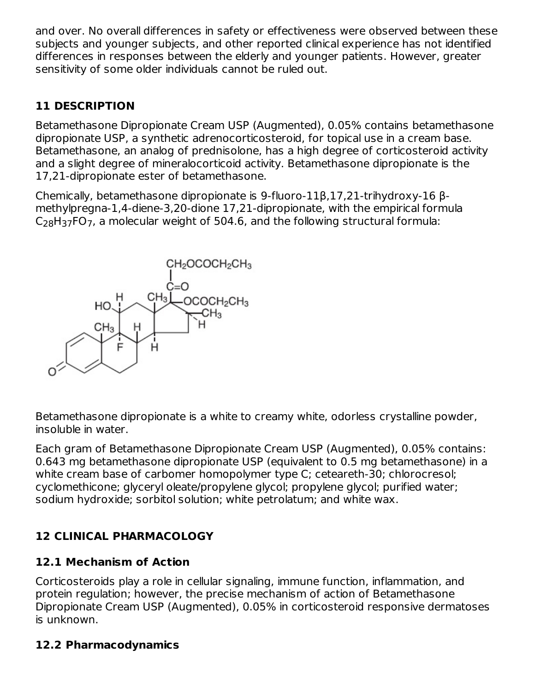and over. No overall differences in safety or effectiveness were observed between these subjects and younger subjects, and other reported clinical experience has not identified differences in responses between the elderly and younger patients. However, greater sensitivity of some older individuals cannot be ruled out.

# **11 DESCRIPTION**

Betamethasone Dipropionate Cream USP (Augmented), 0.05% contains betamethasone dipropionate USP, a synthetic adrenocorticosteroid, for topical use in a cream base. Betamethasone, an analog of prednisolone, has a high degree of corticosteroid activity and a slight degree of mineralocorticoid activity. Betamethasone dipropionate is the 17,21-dipropionate ester of betamethasone.

Chemically, betamethasone dipropionate is 9-fluoro-11β,17,21-trihydroxy-16 βmethylpregna-1,4-diene-3,20-dione 17,21-dipropionate, with the empirical formula  $\mathsf{C}_{28}\mathsf{H}_{37}\mathsf{FO}_{7}$ , a molecular weight of 504.6, and the following structural formula:



Betamethasone dipropionate is a white to creamy white, odorless crystalline powder, insoluble in water.

Each gram of Betamethasone Dipropionate Cream USP (Augmented), 0.05% contains: 0.643 mg betamethasone dipropionate USP (equivalent to 0.5 mg betamethasone) in a white cream base of carbomer homopolymer type C; ceteareth-30; chlorocresol; cyclomethicone; glyceryl oleate/propylene glycol; propylene glycol; purified water; sodium hydroxide; sorbitol solution; white petrolatum; and white wax.

# **12 CLINICAL PHARMACOLOGY**

# **12.1 Mechanism of Action**

Corticosteroids play a role in cellular signaling, immune function, inflammation, and protein regulation; however, the precise mechanism of action of Betamethasone Dipropionate Cream USP (Augmented), 0.05% in corticosteroid responsive dermatoses is unknown.

# **12.2 Pharmacodynamics**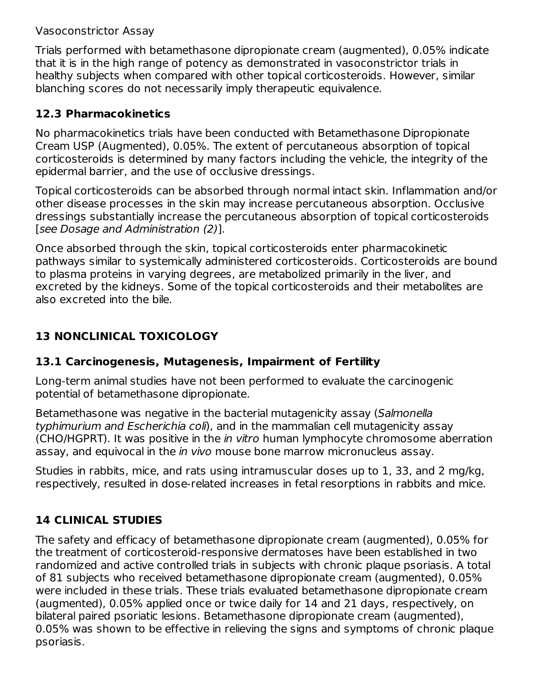#### Vasoconstrictor Assay

Trials performed with betamethasone dipropionate cream (augmented), 0.05% indicate that it is in the high range of potency as demonstrated in vasoconstrictor trials in healthy subjects when compared with other topical corticosteroids. However, similar blanching scores do not necessarily imply therapeutic equivalence.

## **12.3 Pharmacokinetics**

No pharmacokinetics trials have been conducted with Betamethasone Dipropionate Cream USP (Augmented), 0.05%. The extent of percutaneous absorption of topical corticosteroids is determined by many factors including the vehicle, the integrity of the epidermal barrier, and the use of occlusive dressings.

Topical corticosteroids can be absorbed through normal intact skin. Inflammation and/or other disease processes in the skin may increase percutaneous absorption. Occlusive dressings substantially increase the percutaneous absorption of topical corticosteroids [see Dosage and Administration (2)].

Once absorbed through the skin, topical corticosteroids enter pharmacokinetic pathways similar to systemically administered corticosteroids. Corticosteroids are bound to plasma proteins in varying degrees, are metabolized primarily in the liver, and excreted by the kidneys. Some of the topical corticosteroids and their metabolites are also excreted into the bile.

# **13 NONCLINICAL TOXICOLOGY**

# **13.1 Carcinogenesis, Mutagenesis, Impairment of Fertility**

Long-term animal studies have not been performed to evaluate the carcinogenic potential of betamethasone dipropionate.

Betamethasone was negative in the bacterial mutagenicity assay (Salmonella typhimurium and Escherichia coli), and in the mammalian cell mutagenicity assay (CHO/HGPRT). It was positive in the in vitro human lymphocyte chromosome aberration assay, and equivocal in the *in vivo* mouse bone marrow micronucleus assay.

Studies in rabbits, mice, and rats using intramuscular doses up to 1, 33, and 2 mg/kg, respectively, resulted in dose-related increases in fetal resorptions in rabbits and mice.

# **14 CLINICAL STUDIES**

The safety and efficacy of betamethasone dipropionate cream (augmented), 0.05% for the treatment of corticosteroid-responsive dermatoses have been established in two randomized and active controlled trials in subjects with chronic plaque psoriasis. A total of 81 subjects who received betamethasone dipropionate cream (augmented), 0.05% were included in these trials. These trials evaluated betamethasone dipropionate cream (augmented), 0.05% applied once or twice daily for 14 and 21 days, respectively, on bilateral paired psoriatic lesions. Betamethasone dipropionate cream (augmented), 0.05% was shown to be effective in relieving the signs and symptoms of chronic plaque psoriasis.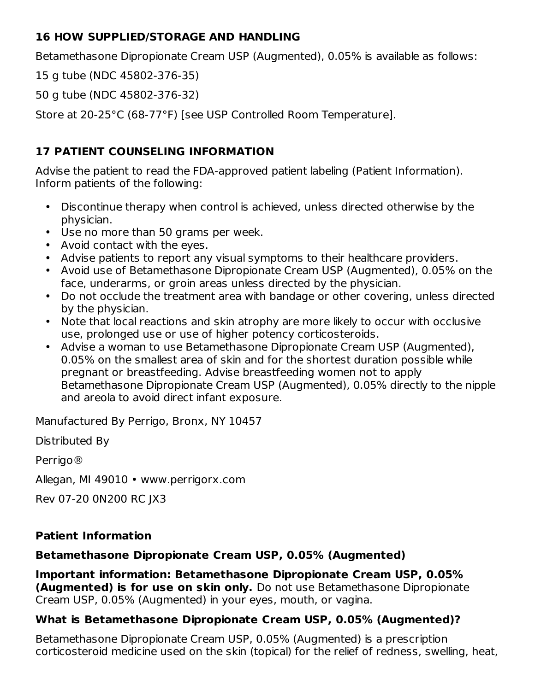#### **16 HOW SUPPLIED/STORAGE AND HANDLING**

Betamethasone Dipropionate Cream USP (Augmented), 0.05% is available as follows:

15 g tube (NDC 45802-376-35)

50 g tube (NDC 45802-376-32)

Store at 20-25°C (68-77°F) [see USP Controlled Room Temperature].

# **17 PATIENT COUNSELING INFORMATION**

Advise the patient to read the FDA-approved patient labeling (Patient Information). Inform patients of the following:

- Discontinue therapy when control is achieved, unless directed otherwise by the physician.
- Use no more than 50 grams per week.
- Avoid contact with the eyes.
- Advise patients to report any visual symptoms to their healthcare providers.
- Avoid use of Betamethasone Dipropionate Cream USP (Augmented), 0.05% on the face, underarms, or groin areas unless directed by the physician.
- Do not occlude the treatment area with bandage or other covering, unless directed by the physician.
- Note that local reactions and skin atrophy are more likely to occur with occlusive use, prolonged use or use of higher potency corticosteroids.
- Advise a woman to use Betamethasone Dipropionate Cream USP (Augmented), 0.05% on the smallest area of skin and for the shortest duration possible while pregnant or breastfeeding. Advise breastfeeding women not to apply Betamethasone Dipropionate Cream USP (Augmented), 0.05% directly to the nipple and areola to avoid direct infant exposure.

Manufactured By Perrigo, Bronx, NY 10457

Distributed By

Perrigo®

Allegan, MI 49010 • www.perrigorx.com

Rev 07-20 0N200 RC JX3

### **Patient Information**

#### **Betamethasone Dipropionate Cream USP, 0.05% (Augmented)**

**Important information: Betamethasone Dipropionate Cream USP, 0.05% (Augmented) is for use on skin only.** Do not use Betamethasone Dipropionate Cream USP, 0.05% (Augmented) in your eyes, mouth, or vagina.

### **What is Betamethasone Dipropionate Cream USP, 0.05% (Augmented)?**

Betamethasone Dipropionate Cream USP, 0.05% (Augmented) is a prescription corticosteroid medicine used on the skin (topical) for the relief of redness, swelling, heat,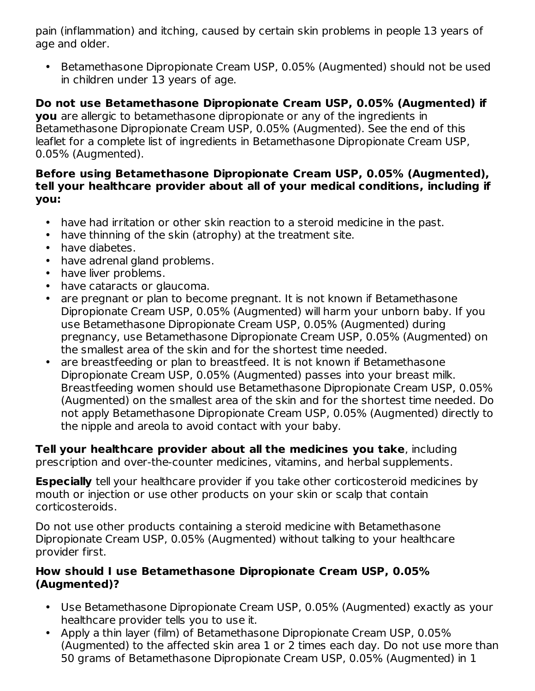pain (inflammation) and itching, caused by certain skin problems in people 13 years of age and older.

• Betamethasone Dipropionate Cream USP, 0.05% (Augmented) should not be used in children under 13 years of age.

**Do not use Betamethasone Dipropionate Cream USP, 0.05% (Augmented) if you** are allergic to betamethasone dipropionate or any of the ingredients in Betamethasone Dipropionate Cream USP, 0.05% (Augmented). See the end of this leaflet for a complete list of ingredients in Betamethasone Dipropionate Cream USP,

0.05% (Augmented).

#### **Before using Betamethasone Dipropionate Cream USP, 0.05% (Augmented), tell your healthcare provider about all of your medical conditions, including if you:**

- have had irritation or other skin reaction to a steroid medicine in the past.
- have thinning of the skin (atrophy) at the treatment site.
- have diabetes.
- have adrenal gland problems.
- have liver problems.
- have cataracts or glaucoma.
- are pregnant or plan to become pregnant. It is not known if Betamethasone Dipropionate Cream USP, 0.05% (Augmented) will harm your unborn baby. If you use Betamethasone Dipropionate Cream USP, 0.05% (Augmented) during pregnancy, use Betamethasone Dipropionate Cream USP, 0.05% (Augmented) on the smallest area of the skin and for the shortest time needed.
- are breastfeeding or plan to breastfeed. It is not known if Betamethasone Dipropionate Cream USP, 0.05% (Augmented) passes into your breast milk. Breastfeeding women should use Betamethasone Dipropionate Cream USP, 0.05% (Augmented) on the smallest area of the skin and for the shortest time needed. Do not apply Betamethasone Dipropionate Cream USP, 0.05% (Augmented) directly to the nipple and areola to avoid contact with your baby.

**Tell your healthcare provider about all the medicines you take**, including prescription and over-the-counter medicines, vitamins, and herbal supplements.

**Especially** tell your healthcare provider if you take other corticosteroid medicines by mouth or injection or use other products on your skin or scalp that contain corticosteroids.

Do not use other products containing a steroid medicine with Betamethasone Dipropionate Cream USP, 0.05% (Augmented) without talking to your healthcare provider first.

#### **How should I use Betamethasone Dipropionate Cream USP, 0.05% (Augmented)?**

- Use Betamethasone Dipropionate Cream USP, 0.05% (Augmented) exactly as your healthcare provider tells you to use it.
- Apply a thin layer (film) of Betamethasone Dipropionate Cream USP, 0.05% (Augmented) to the affected skin area 1 or 2 times each day. Do not use more than 50 grams of Betamethasone Dipropionate Cream USP, 0.05% (Augmented) in 1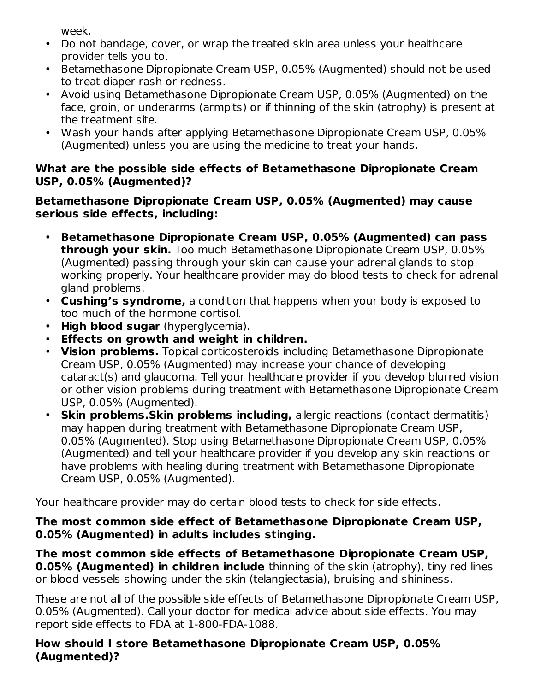week.

- Do not bandage, cover, or wrap the treated skin area unless your healthcare provider tells you to.
- Betamethasone Dipropionate Cream USP, 0.05% (Augmented) should not be used to treat diaper rash or redness.
- Avoid using Betamethasone Dipropionate Cream USP, 0.05% (Augmented) on the face, groin, or underarms (armpits) or if thinning of the skin (atrophy) is present at the treatment site.
- Wash your hands after applying Betamethasone Dipropionate Cream USP, 0.05% (Augmented) unless you are using the medicine to treat your hands.

#### **What are the possible side effects of Betamethasone Dipropionate Cream USP, 0.05% (Augmented)?**

**Betamethasone Dipropionate Cream USP, 0.05% (Augmented) may cause serious side effects, including:**

- **Betamethasone Dipropionate Cream USP, 0.05% (Augmented) can pass through your skin.** Too much Betamethasone Dipropionate Cream USP, 0.05% (Augmented) passing through your skin can cause your adrenal glands to stop working properly. Your healthcare provider may do blood tests to check for adrenal gland problems.
- **Cushing's syndrome,** a condition that happens when your body is exposed to too much of the hormone cortisol.
- **High blood sugar** (hyperglycemia).
- **Effects on growth and weight in children.**
- **Vision problems.** Topical corticosteroids including Betamethasone Dipropionate Cream USP, 0.05% (Augmented) may increase your chance of developing cataract(s) and glaucoma. Tell your healthcare provider if you develop blurred vision or other vision problems during treatment with Betamethasone Dipropionate Cream USP, 0.05% (Augmented).
- **Skin problems.Skin problems including,** allergic reactions (contact dermatitis) may happen during treatment with Betamethasone Dipropionate Cream USP, 0.05% (Augmented). Stop using Betamethasone Dipropionate Cream USP, 0.05% (Augmented) and tell your healthcare provider if you develop any skin reactions or have problems with healing during treatment with Betamethasone Dipropionate Cream USP, 0.05% (Augmented).

Your healthcare provider may do certain blood tests to check for side effects.

### **The most common side effect of Betamethasone Dipropionate Cream USP, 0.05% (Augmented) in adults includes stinging.**

**The most common side effects of Betamethasone Dipropionate Cream USP, 0.05% (Augmented) in children include** thinning of the skin (atrophy), tiny red lines or blood vessels showing under the skin (telangiectasia), bruising and shininess.

These are not all of the possible side effects of Betamethasone Dipropionate Cream USP, 0.05% (Augmented). Call your doctor for medical advice about side effects. You may report side effects to FDA at 1-800-FDA-1088.

**How should I store Betamethasone Dipropionate Cream USP, 0.05% (Augmented)?**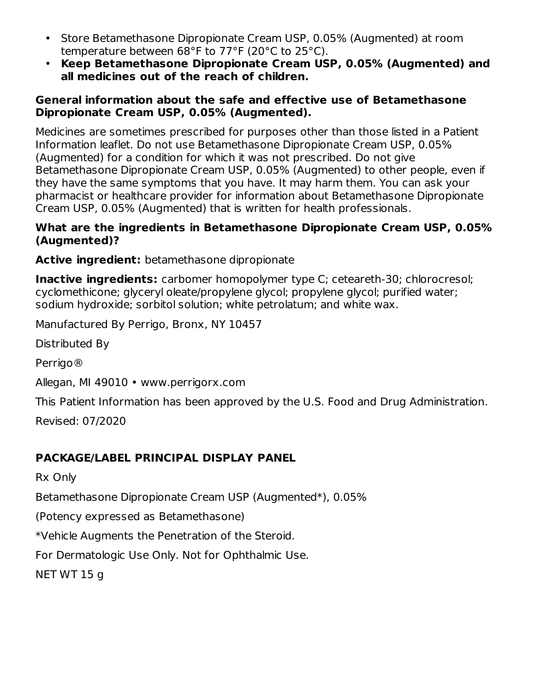- Store Betamethasone Dipropionate Cream USP, 0.05% (Augmented) at room temperature between 68°F to 77°F (20°C to 25°C).
- **Keep Betamethasone Dipropionate Cream USP, 0.05% (Augmented) and all medicines out of the reach of children.**

#### **General information about the safe and effective use of Betamethasone Dipropionate Cream USP, 0.05% (Augmented).**

Medicines are sometimes prescribed for purposes other than those listed in a Patient Information leaflet. Do not use Betamethasone Dipropionate Cream USP, 0.05% (Augmented) for a condition for which it was not prescribed. Do not give Betamethasone Dipropionate Cream USP, 0.05% (Augmented) to other people, even if they have the same symptoms that you have. It may harm them. You can ask your pharmacist or healthcare provider for information about Betamethasone Dipropionate Cream USP, 0.05% (Augmented) that is written for health professionals.

#### **What are the ingredients in Betamethasone Dipropionate Cream USP, 0.05% (Augmented)?**

### **Active ingredient:** betamethasone dipropionate

**Inactive ingredients:** carbomer homopolymer type C; ceteareth-30; chlorocresol; cyclomethicone; glyceryl oleate/propylene glycol; propylene glycol; purified water; sodium hydroxide; sorbitol solution; white petrolatum; and white wax.

Manufactured By Perrigo, Bronx, NY 10457

Distributed By

Perrigo®

Allegan, MI 49010 • www.perrigorx.com

This Patient Information has been approved by the U.S. Food and Drug Administration.

Revised: 07/2020

### **PACKAGE/LABEL PRINCIPAL DISPLAY PANEL**

Rx Only

Betamethasone Dipropionate Cream USP (Augmented\*), 0.05%

(Potency expressed as Betamethasone)

\*Vehicle Augments the Penetration of the Steroid.

For Dermatologic Use Only. Not for Ophthalmic Use.

NET WT 15 g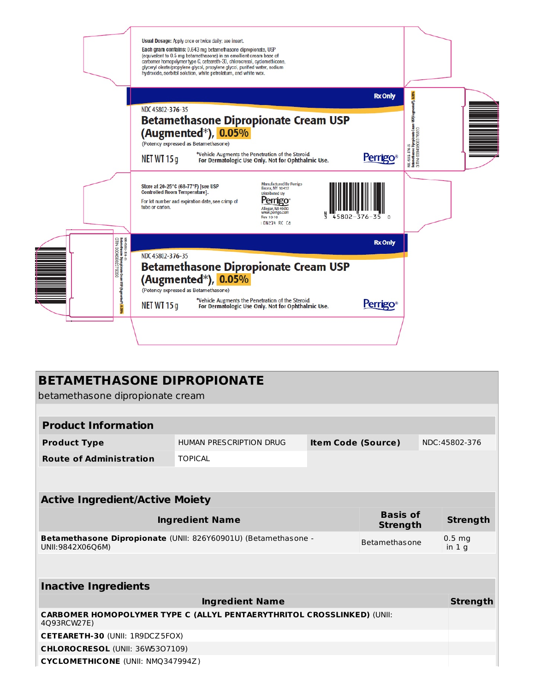|                                                                                                              | Usual Dosage: Apply once or twice daily; see insert.<br>Each gram contains: 0.643 mg betamethasone dipropionate, USP<br>(equivalent to 0.5 mg betamethasone) in an emollient cream base of<br>carbomer homopolymer type C, ceteareth-30, chlcrocresol, cyclomethicone,<br>glyceryl oleate/propylene glycol, propylene glycol, purified water, scdium<br>hydroxide, sorbitol solution, white petrolatum, and white wax. |                                                                                            |
|--------------------------------------------------------------------------------------------------------------|------------------------------------------------------------------------------------------------------------------------------------------------------------------------------------------------------------------------------------------------------------------------------------------------------------------------------------------------------------------------------------------------------------------------|--------------------------------------------------------------------------------------------|
|                                                                                                              |                                                                                                                                                                                                                                                                                                                                                                                                                        | <b>Rx Only</b>                                                                             |
|                                                                                                              | NDC 45802-376-35                                                                                                                                                                                                                                                                                                                                                                                                       |                                                                                            |
|                                                                                                              | <b>Betamethasone Dipropionate Cream USP</b><br>(Augmented*), $0.05\%$<br>(Potency expressed as Betamethasone)<br>*Vehicle Augments the Penetration of the Steroid.<br><b>Perrigo</b> ®<br>NET WT 15 g<br>For Dermatologic Use Only. Not for Ophthalmic Use.                                                                                                                                                            | NDC 4580-376-35<br><b>Belamethasone Dipropionale Ceam</b><br>GTTIN CO345 <i>BC23</i> 7635O |
|                                                                                                              | Manufactured By Perrigo<br>Store at 20-25°C (68-77°F) [see USP<br><b>Bronx, NY 10457</b><br><b>Controlled Room Temperature].</b><br><b>Uistributed By</b><br>Perrigo<br>For lot number and expiration date, see crimp of<br>tube or carton.<br>Allegan MI 49010<br>www.perrigo.com<br>Rev 10-16<br>: ON214 RC Ca                                                                                                       |                                                                                            |
|                                                                                                              |                                                                                                                                                                                                                                                                                                                                                                                                                        | <b>Rx Only</b>                                                                             |
| ND(4580-316-35<br>Bebrindhasone Diprophante Cream USP (Augmented*) <mark>0.099</mark><br>GTIN 00345602376350 | NDC 45802-376-35<br><b>Betamethasone Dipropionate Cream USP</b><br>(Augmented <sup>*</sup> ), 0.05%<br>(Potency expressed as Betamethasone)<br>*Vehicle Augments the Penetration of the Steroid.<br><b>Perrigo</b> <sup>®</sup><br>NET WT 15 g<br>For Dermatologic Use Only. Not for Ophthalmic Use.                                                                                                                   |                                                                                            |
|                                                                                                              |                                                                                                                                                                                                                                                                                                                                                                                                                        |                                                                                            |

| <b>BETAMETHASONE DIPROPIONATE</b><br>betamethasone dipropionate cream                        |                         |                           |                                    |  |                     |
|----------------------------------------------------------------------------------------------|-------------------------|---------------------------|------------------------------------|--|---------------------|
|                                                                                              |                         |                           |                                    |  |                     |
| <b>Product Information</b>                                                                   |                         |                           |                                    |  |                     |
| <b>Product Type</b>                                                                          | HUMAN PRESCRIPTION DRUG | <b>Item Code (Source)</b> |                                    |  | NDC:45802-376       |
| <b>Route of Administration</b>                                                               | <b>TOPICAL</b>          |                           |                                    |  |                     |
|                                                                                              |                         |                           |                                    |  |                     |
| <b>Active Ingredient/Active Moiety</b>                                                       |                         |                           |                                    |  |                     |
|                                                                                              | <b>Ingredient Name</b>  |                           | <b>Basis of</b><br><b>Strength</b> |  | <b>Strength</b>     |
| Betamethasone Dipropionate (UNII: 826Y60901U) (Betamethasone -<br>UNII:9842X06Q6M)           |                         |                           | Betamethasone                      |  | $0.5$ mg<br>in $1g$ |
|                                                                                              |                         |                           |                                    |  |                     |
| <b>Inactive Ingredients</b>                                                                  |                         |                           |                                    |  |                     |
|                                                                                              | <b>Ingredient Name</b>  |                           |                                    |  | <b>Strength</b>     |
| <b>CARBOMER HOMOPOLYMER TYPE C (ALLYL PENTAERYTHRITOL CROSSLINKED) (UNII:</b><br>4093RCW27E) |                         |                           |                                    |  |                     |
| CETEARETH-30 (UNII: 1R9DCZ5FOX)                                                              |                         |                           |                                    |  |                     |
| <b>CHLOROCRESOL (UNII: 36W5307109)</b>                                                       |                         |                           |                                    |  |                     |
| <b>CYCLOMETHICONE (UNII: NMQ347994Z)</b>                                                     |                         |                           |                                    |  |                     |